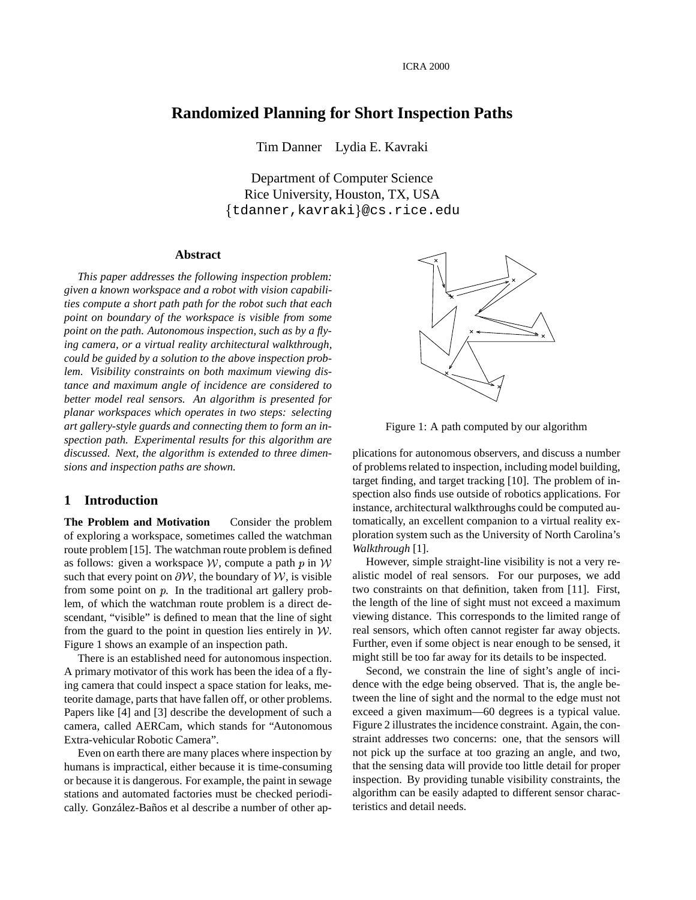# **Randomized Planning for Short Inspection Paths**

Tim Danner Lydia E. Kavraki

Department of Computer Science Rice University, Houston, TX, USA tdanner,kavraki @cs.rice.edu

### **Abstract**

*This paper addresses the following inspection problem: given a known workspace and a robot with vision capabilities compute a short path path for the robot such that each point on boundary of the workspace is visible from some point on the path. Autonomous inspection, such as by a flying camera, or a virtual reality architectural walkthrough, could be guided by a solution to the above inspection problem. Visibility constraints on both maximum viewing distance and maximum angle of incidence are considered to better model real sensors. An algorithm is presented for planar workspaces which operates in two steps: selecting art gallery-style guards and connecting them to form an inspection path. Experimental results for this algorithm are discussed. Next, the algorithm is extended to three dimensions and inspection paths are shown.*

### **1 Introduction**

**The Problem and Motivation** Consider the problem of exploring a workspace, sometimes called the watchman route problem [15]. The watchman route problem is defined as follows: given a workspace  $W$ , compute a path  $p$  in  $W$ such that every point on  $\partial W$ , the boundary of W, is visible from some point on  $p$ . In the traditional art gallery problem, of which the watchman route problem is a direct descendant, "visible" is defined to mean that the line of sight from the guard to the point in question lies entirely in  $W$ . Figure 1 shows an example of an inspection path.

There is an established need for autonomous inspection. A primary motivator of this work has been the idea of a flying camera that could inspect a space station for leaks, meteorite damage, parts that have fallen off, or other problems. Papers like [4] and [3] describe the development of such a camera, called AERCam, which stands for "Autonomous Extra-vehicular Robotic Camera".

Even on earth there are many places where inspection by humans is impractical, either because it is time-consuming or because it is dangerous. For example, the paint in sewage stations and automated factories must be checked periodically. González-Baños et al describe a number of other ap-



Figure 1: A path computed by our algorithm

plications for autonomous observers, and discuss a number of problems related to inspection, including model building, target finding, and target tracking [10]. The problem of inspection also finds use outside of robotics applications. For instance, architectural walkthroughs could be computed automatically, an excellent companion to a virtual reality exploration system such as the University of North Carolina's *Walkthrough* [1].

 However, simple straight-line visibility is not a very realistic model of real sensors. For our purposes, we add two constraints on that definition, taken from [11]. First, the length of the line of sight must not exceed a maximum viewing distance. This corresponds to the limited range of real sensors, which often cannot register far away objects. Further, even if some object is near enough to be sensed, it might still be too far away for its details to be inspected.

Second, we constrain the line of sight's angle of incidence with the edge being observed. That is, the angle between the line of sight and the normal to the edge must not exceed a given maximum—60 degrees is a typical value. Figure 2 illustrates the incidence constraint. Again, the constraint addresses two concerns: one, that the sensors will not pick up the surface at too grazing an angle, and two, that the sensing data will provide too little detail for proper inspection. By providing tunable visibility constraints, the algorithm can be easily adapted to different sensor characteristics and detail needs.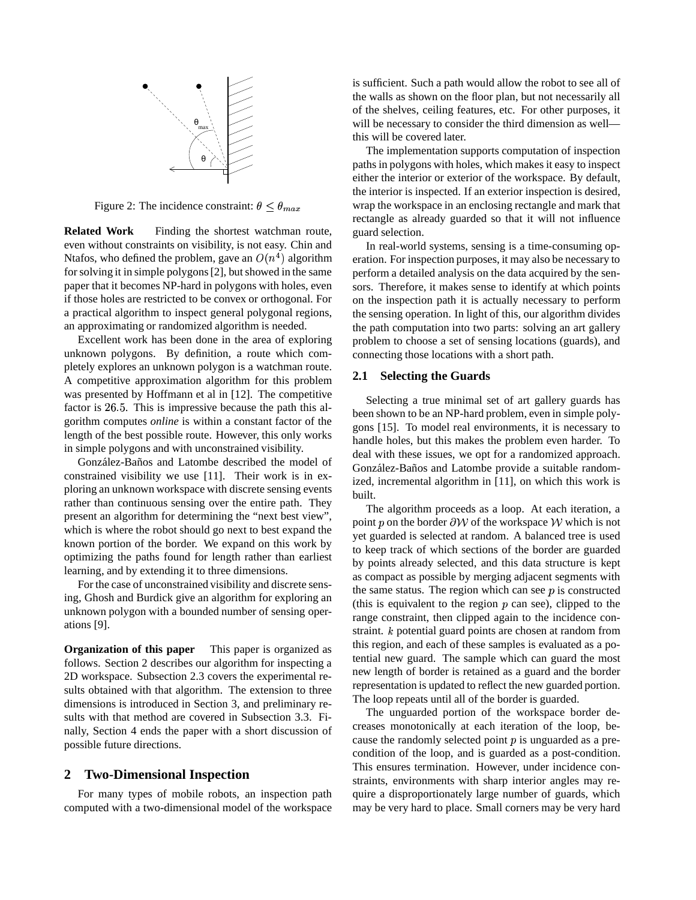

Figure 2: The incidence constraint:  $\theta \leq \theta_{max}$ 

**Related Work** Finding the shortest watchman route, even without constraints on visibility, is not easy. Chin and Ntafos, who defined the problem, gave an  $O(n^4)$  algorithm for solving it in simple polygons [2], but showed in the same paper that it becomes NP-hard in polygons with holes, even if those holes are restricted to be convex or orthogonal. For a practical algorithm to inspect general polygonal regions, an approximating or randomized algorithm is needed.

Excellent work has been done in the area of exploring unknown polygons. By definition, a route which completely explores an unknown polygon is a watchman route. A competitive approximation algorithm for this problem was presented by Hoffmann et al in [12]. The competitive factor is 26.5. This is impressive because the path this algorithm computes *online* is within a constant factor of the length of the best possible route. However, this only works in simple polygons and with unconstrained visibility.

González-Baños and Latombe described the model of constrained visibility we use [11]. Their work is in exploring an unknown workspace with discrete sensing events rather than continuous sensing over the entire path. They present an algorithm for determining the "next best view", which is where the robot should go next to best expand the known portion of the border. We expand on this work by optimizing the paths found for length rather than earliest learning, and by extending it to three dimensions.

For the case of unconstrained visibility and discrete sensing, Ghosh and Burdick give an algorithm for exploring an unknown polygon with a bounded number of sensing operations [9].

**Organization of this paper** This paper is organized as follows. Section 2 describes our algorithm for inspecting a 2D workspace. Subsection 2.3 covers the experimental results obtained with that algorithm. The extension to three dimensions is introduced in Section 3, and preliminary results with that method are covered in Subsection 3.3. Finally, Section 4 ends the paper with a short discussion of possible future directions.

## **2 Two-Dimensional Inspection**

For many types of mobile robots, an inspection path computed with a two-dimensional model of the workspace is sufficient. Such a path would allow the robot to see all of the walls as shown on the floor plan, but not necessarily all of the shelves, ceiling features, etc. For other purposes, it will be necessary to consider the third dimension as well this will be covered later.

The implementation supports computation of inspection paths in polygons with holes, which makes it easy to inspect either the interior or exterior of the workspace. By default, the interior is inspected. If an exterior inspection is desired, wrap the workspace in an enclosing rectangle and mark that rectangle as already guarded so that it will not influence guard selection.

In real-world systems, sensing is a time-consuming operation. For inspection purposes, it may also be necessary to perform a detailed analysis on the data acquired by the sensors. Therefore, it makes sense to identify at which points on the inspection path it is actually necessary to perform the sensing operation. In light of this, our algorithm divides the path computation into two parts: solving an art gallery problem to choose a set of sensing locations (guards), and connecting those locations with a short path.

#### **2.1 Selecting the Guards**

Selecting a true minimal set of art gallery guards has been shown to be an NP-hard problem, even in simple polygons [15]. To model real environments, it is necessary to handle holes, but this makes the problem even harder. To deal with these issues, we opt for a randomized approach. González-Baños and Latombe provide a suitable randomized, incremental algorithm in [11], on which this work is built.

The algorithm proceeds as a loop. At each iteration, a point p on the border  $\partial W$  of the workspace W which is not yet guarded is selected at random. A balanced tree is used to keep track of which sections of the border are guarded by points already selected, and this data structure is kept as compact as possible by merging adjacent segments with the same status. The region which can see  $p$  is constructed (this is equivalent to the region  $p$  can see), clipped to the range constraint, then clipped again to the incidence constraint.  $k$  potential guard points are chosen at random from this region, and each of these samples is evaluated as a potential new guard. The sample which can guard the most new length of border is retained as a guard and the border representation is updated to reflect the new guarded portion. The loop repeats until all of the border is guarded.

The unguarded portion of the workspace border decreases monotonically at each iteration of the loop, because the randomly selected point  $p$  is unguarded as a precondition of the loop, and is guarded as a post-condition. This ensures termination. However, under incidence constraints, environments with sharp interior angles may require a disproportionately large number of guards, which may be very hard to place. Small corners may be very hard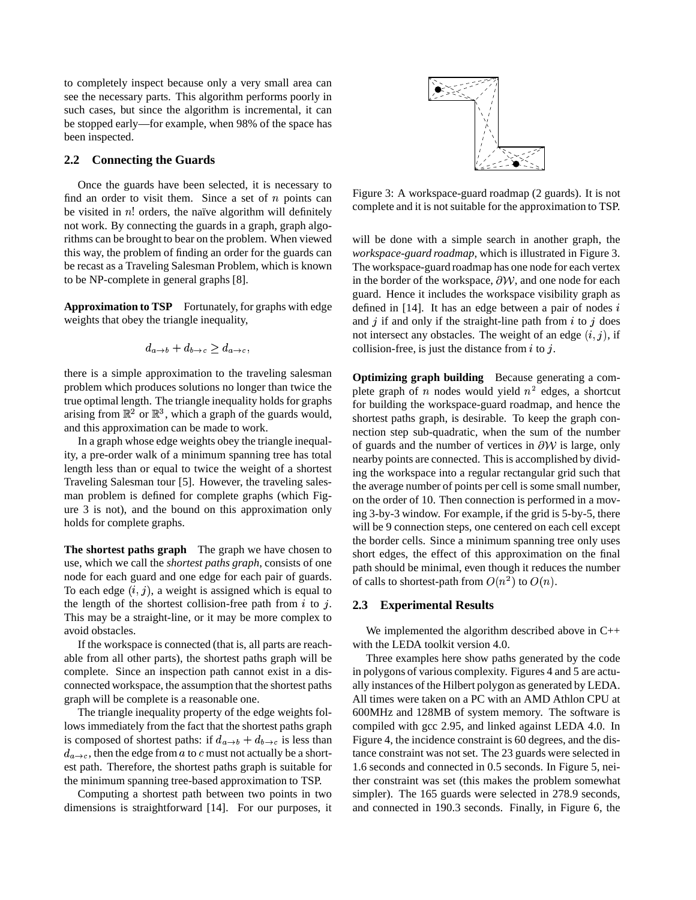to completely inspect because only a very small area can see the necessary parts. This algorithm performs poorly in such cases, but since the algorithm is incremental, it can be stopped early—for example, when 98% of the space has been inspected.

#### **2.2 Connecting the Guards**

Once the guards have been selected, it is necessary to find an order to visit them. Since a set of  $n$  points can be visited in  $n!$  orders, the naïve algorithm will definitely not work. By connecting the guards in a graph, graph algorithms can be brought to bear on the problem. When viewed this way, the problem of finding an order for the guards can be recast as a Traveling Salesman Problem, which is known to be NP-complete in general graphs [8].

**Approximation to TSP** Fortunately, for graphs with edge weights that obey the triangle inequality,

$$
d_{a\to b}+d_{b\to c}\geq d_{a\to c},
$$

there is a simple approximation to the traveling salesman problem which produces solutions no longer than twice the true optimal length. The triangle inequality holds for graphs arising from  $\mathbb{R}^2$  or  $\mathbb{R}^3$ , which a graph of the guards would, and this approximation can be made to work.

In a graph whose edge weights obey the triangle inequality, a pre-order walk of a minimum spanning tree has total length less than or equal to twice the weight of a shortest Traveling Salesman tour [5]. However, the traveling salesman problem is defined for complete graphs (which Figure 3 is not), and the bound on this approximation only holds for complete graphs.

**The shortest paths graph** The graph we have chosen to use, which we call the *shortest paths graph*, consists of one node for each guard and one edge for each pair of guards. To each edge  $(i, j)$ , a weight is assigned which is equal to the length of the shortest collision-free path from  $i$  to  $j$ . 2.3 This may be a straight-line, or it may be more complex to avoid obstacles.

If the workspace is connected (that is, all parts are reachable from all other parts), the shortest paths graph will be complete. Since an inspection path cannot exist in a disconnected workspace, the assumption that the shortest paths graph will be complete is a reasonable one.

The triangle inequality property of the edge weights follows immediately from the fact that the shortest paths graph is composed of shortest paths: if  $d_{a\rightarrow b} + d_{b\rightarrow c}$  is less than  $d_{a\rightarrow c}$ , then the edge from a to c must not actually be a shortest path. Therefore, the shortest paths graph is suitable for the minimum spanning tree-based approximation to TSP.

Computing a shortest path between two points in two dimensions is straightforward [14]. For our purposes, it



Figure 3: A workspace-guard roadmap (2 guards). It is not complete and it is not suitable for the approximation to TSP.

will be done with a simple search in another graph, the *workspace-guard roadmap*, which is illustrated in Figure 3. The workspace-guard roadmap has one node for each vertex in the border of the workspace,  $\partial W$ , and one node for each guard. Hence it includes the workspace visibility graph as defined in  $[14]$ . It has an edge between a pair of nodes i and  $j$  if and only if the straight-line path from  $i$  to  $j$  does not intersect any obstacles. The weight of an edge  $(i, j)$ , if collision-free, is just the distance from  $i$  to  $j$ .

**Optimizing graph building** Because generating a complete graph of *n* nodes would yield  $n^2$  edges, a shortcut for building the workspace-guard roadmap, and hence the shortest paths graph, is desirable. To keep the graph connection step sub-quadratic, when the sum of the number of guards and the number of vertices in  $\partial W$  is large, only nearby points are connected. This is accomplished by dividing the workspace into a regular rectangular grid such that the average number of points per cell is some small number, on the order of 10. Then connection is performed in a moving 3-by-3 window. For example, if the grid is 5-by-5, there will be 9 connection steps, one centered on each cell except the border cells. Since a minimum spanning tree only uses short edges, the effect of this approximation on the final path should be minimal, even though it reduces the number of calls to shortest-path from  $O(n^2)$  to  $O(n)$ .

#### **2.3 Experimental Results**

We implemented the algorithm described above in C++ with the LEDA toolkit version 4.0.

Three examples here show paths generated by the code in polygons of various complexity. Figures 4 and 5 are actually instances of the Hilbert polygon as generated by LEDA. All times were taken on a PC with an AMD Athlon CPU at 600MHz and 128MB of system memory. The software is compiled with gcc 2.95, and linked against LEDA 4.0. In Figure 4, the incidence constraint is 60 degrees, and the distance constraint was not set. The 23 guards were selected in 1.6 seconds and connected in 0.5 seconds. In Figure 5, neither constraint was set (this makes the problem somewhat simpler). The 165 guards were selected in 278.9 seconds, and connected in 190.3 seconds. Finally, in Figure 6, the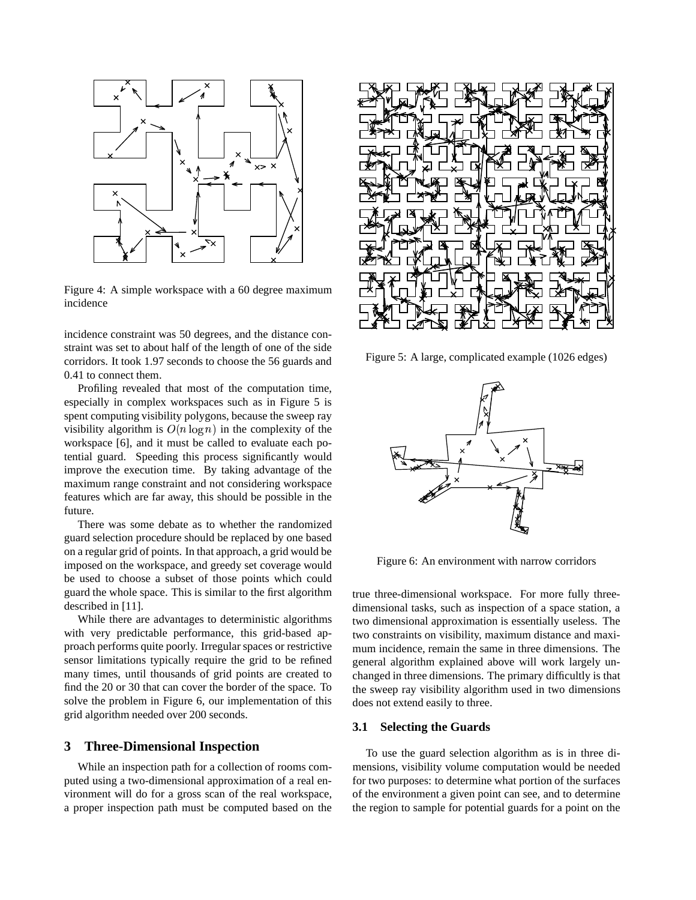

Figure 4: A simple workspace with a 60 degree maximum incidence

incidence constraint was 50 degrees, and the distance constraint was set to about half of the length of one of the side corridors. It took 1.97 seconds to choose the 56 guards and 0.41 to connect them.

Profiling revealed that most of the computation time, especially in complex workspaces such as in Figure 5 is spent computing visibility polygons, because the sweep ray visibility algorithm is  $O(n \log n)$  in the complexity of the workspace [6], and it must be called to evaluate each potential guard. Speeding this process significantly would improve the execution time. By taking advantage of the maximum range constraint and not considering workspace features which are far away, this should be possible in the future.

There was some debate as to whether the randomized guard selection procedure should be replaced by one based on a regular grid of points. In that approach, a grid would be imposed on the workspace, and greedy set coverage would be used to choose a subset of those points which could guard the whole space. This is similar to the first algorithm described in [11].

While there are advantages to deterministic algorithms with very predictable performance, this grid-based approach performs quite poorly. Irregular spaces or restrictive sensor limitations typically require the grid to be refined many times, until thousands of grid points are created to find the 20 or 30 that can cover the border of the space. To solve the problem in Figure 6, our implementation of this grid algorithm needed over 200 seconds.

### **3 Three-Dimensional Inspection**

While an inspection path for a collection of rooms computed using a two-dimensional approximation of a real environment will do for a gross scan of the real workspace, a proper inspection path must be computed based on the



Figure 5: A large, complicated example (1026 edges)



Figure 6: An environment with narrow corridors

true three-dimensional workspace. For more fully threedimensional tasks, such as inspection of a space station, a two dimensional approximation is essentially useless. The two constraints on visibility, maximum distance and maximum incidence, remain the same in three dimensions. The general algorithm explained above will work largely unchanged in three dimensions. The primary difficultly is that the sweep ray visibility algorithm used in two dimensions does not extend easily to three.

### **3.1 Selecting the Guards**

To use the guard selection algorithm as is in three dimensions, visibility volume computation would be needed for two purposes: to determine what portion of the surfaces of the environment a given point can see, and to determine the region to sample for potential guards for a point on the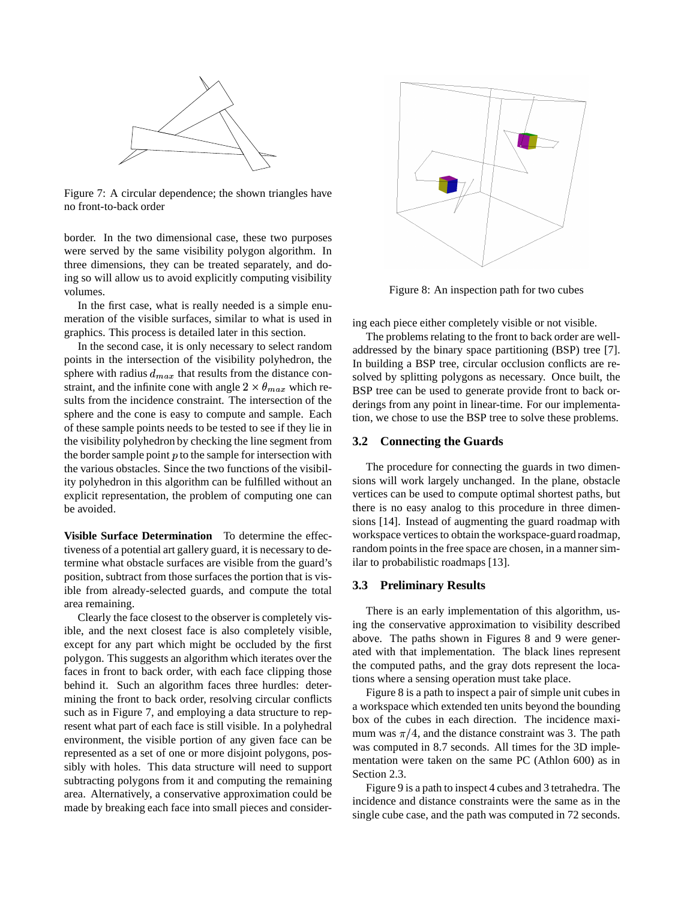

Figure 7: A circular dependence; the shown triangles have no front-to-back order

border. In the two dimensional case, these two purposes were served by the same visibility polygon algorithm. In three dimensions, they can be treated separately, and doing so will allow us to avoid explicitly computing visibility volumes.

In the first case, what is really needed is a simple enumeration of the visible surfaces, similar to what is used in graphics. This process is detailed later in this section.

In the second case, it is only necessary to select random points in the intersection of the visibility polyhedron, the sphere with radius  $d_{max}$  that results from the distance constraint, and the infinite cone with angle  $2 \times \theta_{max}$  which results from the incidence constraint. The intersection of the sphere and the cone is easy to compute and sample. Each of these sample points needs to be tested to see if they lie in the visibility polyhedron by checking the line segment from the border sample point  $p$  to the sample for intersection with the various obstacles. Since the two functions of the visibility polyhedron in this algorithm can be fulfilled without an explicit representation, the problem of computing one can be avoided.

**Visible Surface Determination** To determine the effectiveness of a potential art gallery guard, it is necessary to determine what obstacle surfaces are visible from the guard's position, subtract from those surfaces the portion that is visible from already-selected guards, and compute the total area remaining.

Clearly the face closest to the observer is completely visible, and the next closest face is also completely visible, except for any part which might be occluded by the first polygon. This suggests an algorithm which iterates over the faces in front to back order, with each face clipping those behind it. Such an algorithm faces three hurdles: determining the front to back order, resolving circular conflicts such as in Figure 7, and employing a data structure to represent what part of each face is still visible. In a polyhedral environment, the visible portion of any given face can be represented as a set of one or more disjoint polygons, possibly with holes. This data structure will need to support subtracting polygons from it and computing the remaining area. Alternatively, a conservative approximation could be made by breaking each face into small pieces and consider-



Figure 8: An inspection path for two cubes

ing each piece either completely visible or not visible.

The problems relating to the front to back order are welladdressed by the binary space partitioning (BSP) tree [7]. In building a BSP tree, circular occlusion conflicts are resolved by splitting polygons as necessary. Once built, the BSP tree can be used to generate provide front to back orderings from any point in linear-time. For our implementation, we chose to use the BSP tree to solve these problems.

#### **3.2 Connecting the Guards**

The procedure for connecting the guards in two dimensions will work largely unchanged. In the plane, obstacle vertices can be used to compute optimal shortest paths, but there is no easy analog to this procedure in three dimensions [14]. Instead of augmenting the guard roadmap with workspace vertices to obtain the workspace-guard roadmap, random points in the free space are chosen, in a manner similar to probabilistic roadmaps [13].

### **3.3 Preliminary Results**

There is an early implementation of this algorithm, using the conservative approximation to visibility described above. The paths shown in Figures 8 and 9 were generated with that implementation. The black lines represent the computed paths, and the gray dots represent the locations where a sensing operation must take place.

Figure 8 is a path to inspect a pair of simple unit cubes in a workspace which extended ten units beyond the bounding box of the cubes in each direction. The incidence maximum was  $\pi/4$ , and the distance constraint was 3. The path was computed in 8.7 seconds. All times for the 3D implementation were taken on the same PC (Athlon 600) as in Section 2.3.

Figure 9 is a path to inspect 4 cubes and 3 tetrahedra. The incidence and distance constraints were the same as in the single cube case, and the path was computed in 72 seconds.